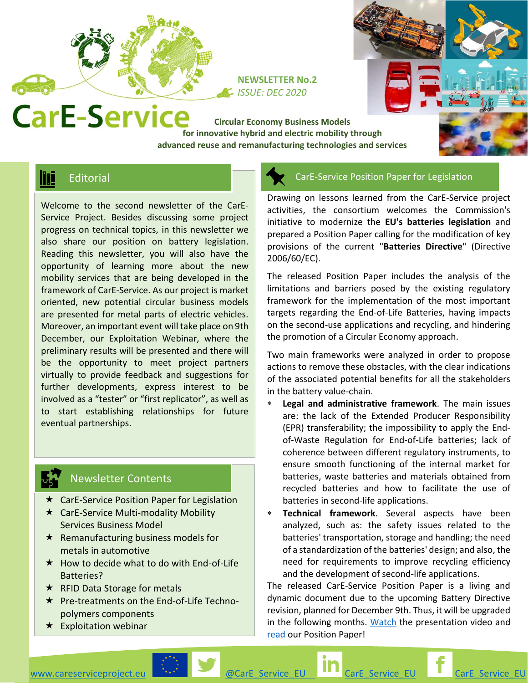

**NEWSLETTER No.2** *ISSUE: DEC 2020*

**Circular Economy Business Models CarE-Service** Circular Economy Business Models<br>for innovative hybrid and electric mobility through **advanced reuse and remanufacturing technologies and services**

# **TE** Editorial

Welcome to the second newsletter of the CarE-Service Project. Besides discussing some project progress on technical topics, in this newsletter we also share our position on battery legislation. Reading this newsletter, you will also have the opportunity of learning more about the new mobility services that are being developed in the framework of CarE-Service. As our project is market oriented, new potential circular business models are presented for metal parts of electric vehicles. Moreover, an important event will take place on 9th December, our Exploitation Webinar, where the preliminary results will be presented and there will be the opportunity to meet project partners virtually to provide feedback and suggestions for further developments, express interest to be involved as a "tester" or "first replicator", as well as to start establishing relationships for future eventual partnerships.

### Newsletter Contents

- **★** CarE-Service Position Paper for Legislation
- **★ CarE-Service Multi-modality Mobility** Services Business Model
- $\star$  Remanufacturing business models for metals in automotive
- $\star$  How to decide what to do with End-of-Life Batteries?
- $\star$  RFID Data Storage for metals
- ★ Pre-treatments on the End-of-Life Technopolymers components
- $\star$  Exploitation webinar

#### CarE-Service Position Paper for Legislation

Drawing on lessons learned from the CarE-Service project activities, the consortium welcomes the Commission's initiative to modernize the **EU's batteries legislation** and prepared a Position Paper calling for the modification of key provisions of the current "**Batteries Directive**" (Directive 2006/60/EC).

The released Position Paper includes the analysis of the limitations and barriers posed by the existing regulatory framework for the implementation of the most important targets regarding the End-of-Life Batteries, having impacts on the second-use applications and recycling, and hindering the promotion of a Circular Economy approach.

Two main frameworks were analyzed in order to propose actions to remove these obstacles, with the clear indications of the associated potential benefits for all the stakeholders in the battery value-chain.

- **Legal and administrative framework**. The main issues are: the lack of the Extended Producer Responsibility (EPR) transferability; the impossibility to apply the Endof-Waste Regulation for End-of-Life batteries; lack of coherence between different regulatory instruments, to ensure smooth functioning of the internal market for batteries, waste batteries and materials obtained from recycled batteries and how to facilitate the use of batteries in second-life applications.
- **Technical framework**. Several aspects have been analyzed, such as: the safety issues related to the batteries' transportation, storage and handling; the need of a standardization of the batteries' design; and also, the need for requirements to improve recycling efficiency and the development of second-life applications.

The released CarE-Service Position Paper is a living and dynamic document due to the upcoming Battery Directive revision, planned for December 9th. Thus, it will be upgraded in the following months. [Watch](https://ec.europa.eu/info/funding-tenders/opportunities/portal/screen/opportunities/horizon-results-platform/24155) the presentation video and [read](https://cordis.europa.eu/project/id/776851/results) our Position Paper!

[www.careserviceproject.eu](http://www.careserviceproject.eu/)  $\blacksquare$ ... [@CarE\\_Service\\_EU](https://twitter.com/CarE_Service_EU) [CarE\\_Service\\_EU](https://www.facebook.com/pages/category/Interest/CarE_Service_EU-572737813244686/) CarE\_Service\_EU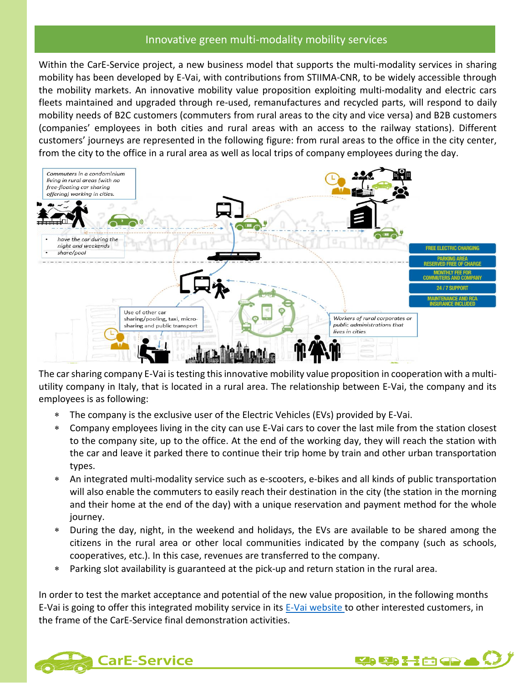#### Innovative green multi-modality mobility services

Within the CarE-Service project, a new business model that supports the multi-modality services in sharing mobility has been developed by E-Vai, with contributions from STIIMA-CNR, to be widely accessible through the mobility markets. An innovative mobility value proposition exploiting multi-modality and electric cars fleets maintained and upgraded through re-used, remanufactures and recycled parts, will respond to daily mobility needs of B2C customers (commuters from rural areas to the city and vice versa) and B2B customers (companies' employees in both cities and rural areas with an access to the railway stations). Different customers' journeys are represented in the following figure: from rural areas to the office in the city center, from the city to the office in a rural area as well as local trips of company employees during the day.



The car sharing company E-Vai is testing this innovative mobility value proposition in cooperation with a multiutility company in Italy, that is located in a rural area. The relationship between E-Vai, the company and its employees is as following:

- The company is the exclusive user of the Electric Vehicles (EVs) provided by E-Vai.
- Company employees living in the city can use E-Vai cars to cover the last mile from the station closest to the company site, up to the office. At the end of the working day, they will reach the station with the car and leave it parked there to continue their trip home by train and other urban transportation types.
- An integrated multi-modality service such as e-scooters, e-bikes and all kinds of public transportation will also enable the commuters to easily reach their destination in the city (the station in the morning and their home at the end of the day) with a unique reservation and payment method for the whole journey.
- During the day, night, in the weekend and holidays, the EVs are available to be shared among the citizens in the rural area or other local communities indicated by the company (such as schools, cooperatives, etc.). In this case, revenues are transferred to the company.
- Parking slot availability is guaranteed at the pick-up and return station in the rural area.

In order to test the market acceptance and potential of the new value proposition, in the following months E-Vai is going to offer this integrated mobility service in its [E-Vai website](https://www.e-vai.com/en/services/easy-station/) to other interested customers, in the frame of the CarE-Service final demonstration activities.



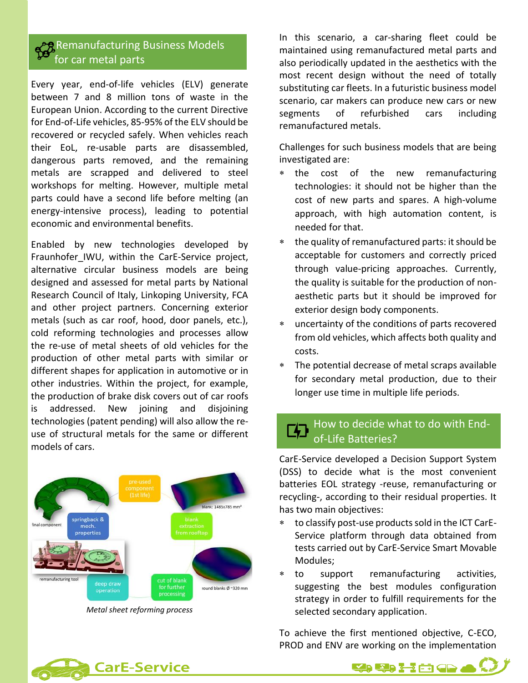### Remanufacturing Business Models for car metal parts

Every year, end-of-life vehicles (ELV) generate between 7 and 8 million tons of waste in the European Union. According to the current Directive for End-of-Life vehicles, 85-95% of the ELV should be recovered or recycled safely. When vehicles reach their EoL, re-usable parts are disassembled, dangerous parts removed, and the remaining metals are scrapped and delivered to steel workshops for melting. However, multiple metal parts could have a second life before melting (an energy-intensive process), leading to potential economic and environmental benefits.

Enabled by new technologies developed by Fraunhofer IWU, within the CarE-Service project, alternative circular business models are being designed and assessed for metal parts by National Research Council of Italy, Linkoping University, FCA and other project partners. Concerning exterior metals (such as car roof, hood, door panels, etc.), cold reforming technologies and processes allow the re-use of metal sheets of old vehicles for the production of other metal parts with similar or different shapes for application in automotive or in other industries. Within the project, for example, the production of brake disk covers out of car roofs is addressed. New joining and disjoining technologies (patent pending) will also allow the reuse of structural metals for the same or different models of cars.



*Metal sheet reforming process*

In this scenario, a car-sharing fleet could be maintained using remanufactured metal parts and also periodically updated in the aesthetics with the most recent design without the need of totally substituting car fleets. In a futuristic business model scenario, car makers can produce new cars or new segments of refurbished cars including remanufactured metals.

Challenges for such business models that are being investigated are:

- the cost of the new remanufacturing technologies: it should not be higher than the cost of new parts and spares. A high-volume approach, with high automation content, is needed for that.
- the quality of remanufactured parts: it should be acceptable for customers and correctly priced through value-pricing approaches. Currently, the quality is suitable for the production of nonaesthetic parts but it should be improved for exterior design body components.
- uncertainty of the conditions of parts recovered from old vehicles, which affects both quality and costs.
- The potential decrease of metal scraps available for secondary metal production, due to their longer use time in multiple life periods.

### How to decide what to do with Endof-Life Batteries?

CarE-Service developed a Decision Support System (DSS) to decide what is the most convenient batteries EOL strategy -reuse, remanufacturing or recycling-, according to their residual properties. It has two main objectives:

- to classify post-use products sold in the ICT CarE-Service platform through data obtained from tests carried out by CarE-Service Smart Movable Modules;
- to support remanufacturing activities, suggesting the best modules configuration strategy in order to fulfill requirements for the selected secondary application.

To achieve the first mentioned objective, C-ECO, PROD and ENV are working on the implementation



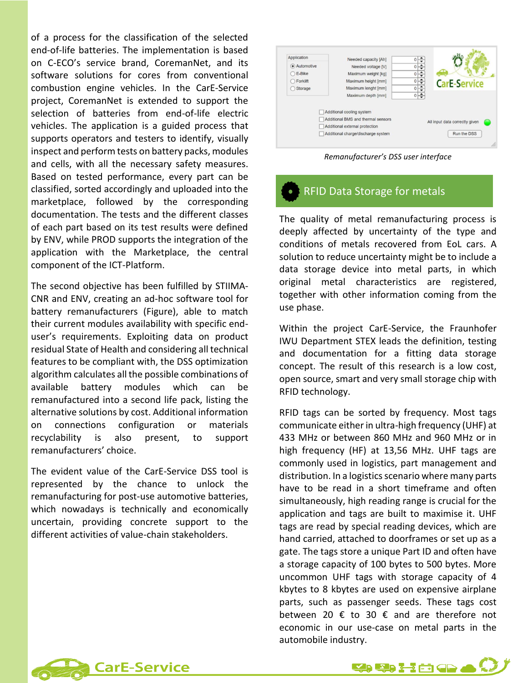of a process for the classification of the selected end-of-life batteries. The implementation is based on C-ECO's service brand, CoremanNet, and its software solutions for cores from conventional combustion engine vehicles. In the CarE-Service project, CoremanNet is extended to support the selection of batteries from end-of-life electric vehicles. The application is a guided process that supports operators and testers to identify, visually inspect and perform tests on battery packs, modules and cells, with all the necessary safety measures. Based on tested performance, every part can be classified, sorted accordingly and uploaded into the marketplace, followed by the corresponding documentation. The tests and the different classes of each part based on its test results were defined by ENV, while PROD supports the integration of the application with the Marketplace, the central component of the ICT-Platform.

The second objective has been fulfilled by STIIMA-CNR and ENV, creating an ad-hoc software tool for battery remanufacturers (Figure), able to match their current modules availability with specific enduser's requirements. Exploiting data on product residual State of Health and considering all technical features to be compliant with, the DSS optimization algorithm calculates all the possible combinations of available battery modules which can be remanufactured into a second life pack, listing the alternative solutions by cost. Additional information on connections configuration or materials recyclability is also present, to support remanufacturers' choice.

The evident value of the CarE-Service DSS tool is represented by the chance to unlock the remanufacturing for post-use automotive batteries, which nowadays is technically and economically uncertain, providing concrete support to the different activities of value-chain stakeholders.



*Remanufacturer's DSS user interface*

## RFID Data Storage for metals

The quality of metal remanufacturing process is deeply affected by uncertainty of the type and conditions of metals recovered from EoL cars. A solution to reduce uncertainty might be to include a data storage device into metal parts, in which original metal characteristics are registered, together with other information coming from the use phase.

Within the project CarE-Service, the Fraunhofer IWU Department STEX leads the definition, testing and documentation for a fitting data storage concept. The result of this research is a low cost, open source, smart and very small storage chip with RFID technology.

RFID tags can be sorted by frequency. Most tags communicate either in ultra-high frequency (UHF) at 433 MHz or between 860 MHz and 960 MHz or in high frequency (HF) at 13,56 MHz. UHF tags are commonly used in logistics, part management and distribution. In a logistics scenario where many parts have to be read in a short timeframe and often simultaneously, high reading range is crucial for the application and tags are built to maximise it. UHF tags are read by special reading devices, which are hand carried, attached to doorframes or set up as a gate. The tags store a unique Part ID and often have a storage capacity of 100 bytes to 500 bytes. More uncommon UHF tags with storage capacity of 4 kbytes to 8 kbytes are used on expensive airplane parts, such as passenger seeds. These tags cost between 20  $\epsilon$  to 30  $\epsilon$  and are therefore not economic in our use-case on metal parts in the automobile industry.



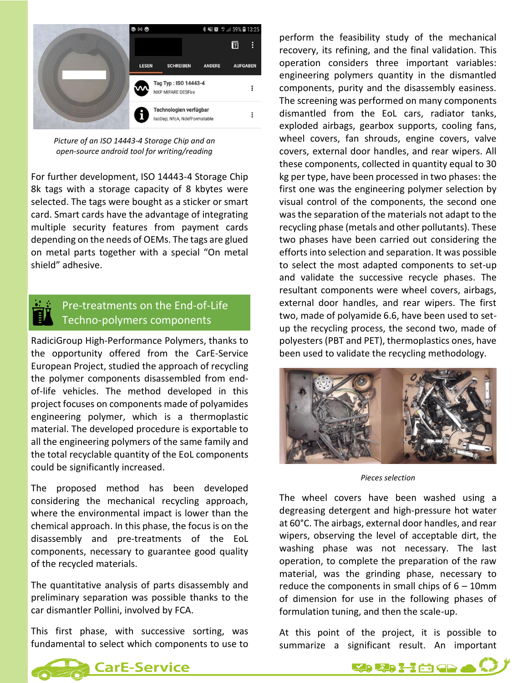

*Picture of an ISO 14443-4 Storage Chip and an open-source android tool for writing/reading*

For further development, ISO 14443-4 Storage Chip 8k tags with a storage capacity of 8 kbytes were selected. The tags were bought as a sticker or smart card. Smart cards have the advantage of integrating multiple security features from payment cards depending on the needs of OEMs. The tags are glued on metal parts together with a special "On metal shield" adhesive.

### Pre-treatments on the End-of-Life Techno-polymers components

RadiciGroup High-Performance Polymers, thanks to the opportunity offered from the CarE-Service European Project, studied the approach of recycling the polymer components disassembled from endof-life vehicles. The method developed in this project focuses on components made of polyamides engineering polymer, which is a thermoplastic material. The developed procedure is exportable to all the engineering polymers of the same family and the total recyclable quantity of the EoL components could be significantly increased.

The proposed method has been developed considering the mechanical recycling approach, where the environmental impact is lower than the chemical approach. In this phase, the focus is on the disassembly and pre-treatments of the EoL components, necessary to guarantee good quality of the recycled materials.

The quantitative analysis of parts disassembly and preliminary separation was possible thanks to the car dismantler Pollini, involved by FCA.

This first phase, with successive sorting, was fundamental to select which components to use to perform the feasibility study of the mechanical recovery, its refining, and the final validation. This operation considers three important variables: engineering polymers quantity in the dismantled components, purity and the disassembly easiness. The screening was performed on many components dismantled from the EoL cars, radiator tanks, exploded airbags, gearbox supports, cooling fans, wheel covers, fan shrouds, engine covers, valve covers, external door handles, and rear wipers. All these components, collected in quantity equal to 30 kg per type, have been processed in two phases: the first one was the engineering polymer selection by visual control of the components, the second one was the separation of the materials not adapt to the recycling phase (metals and other pollutants). These two phases have been carried out considering the efforts into selection and separation. It was possible to select the most adapted components to set-up and validate the successive recycle phases. The resultant components were wheel covers, airbags, external door handles, and rear wipers. The first two, made of polyamide 6.6, have been used to setup the recycling process, the second two, made of polyesters (PBT and PET), thermoplastics ones, have been used to validate the recycling methodology.



*Pieces selection*

The wheel covers have been washed using a degreasing detergent and high-pressure hot water at 60°C. The airbags, external door handles, and rear wipers, observing the level of acceptable dirt, the washing phase was not necessary. The last operation, to complete the preparation of the raw material, was the grinding phase, necessary to reduce the components in small chips of  $6 - 10$ mm of dimension for use in the following phases of formulation tuning, and then the scale-up.

At this point of the project, it is possible to summarize a significant result. An important